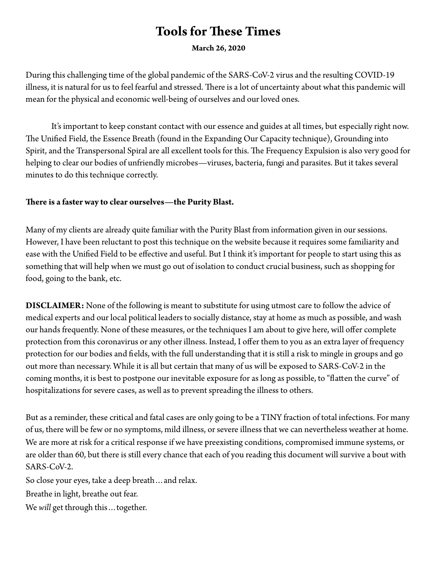# **Tools for These Times**

**March 26, 2020** 

During this challenging time of the global pandemic of the SARS-CoV-2 virus and the resulting COVID-19 illness, it is natural for us to feel fearful and stressed. There is a lot of uncertainty about what this pandemic will mean for the physical and economic well-being of ourselves and our loved ones.

 It's important to keep constant contact with our essence and guides at all times, but especially right now. The Unified Field, the Essence Breath (found in the Expanding Our Capacity technique), Grounding into Spirit, and the Transpersonal Spiral are all excellent tools for this. The Frequency Expulsion is also very good for helping to clear our bodies of unfriendly microbes—viruses, bacteria, fungi and parasites. But it takes several minutes to do this technique correctly.

#### **Tere is a faster way to clear ourselves—the Purity Blast.**

Many of my clients are already quite familiar with the Purity Blast from information given in our sessions. However, I have been reluctant to post this technique on the website because it requires some familiarity and ease with the Unifed Field to be effective and useful. But I think it's important for people to start using this as something that will help when we must go out of isolation to conduct crucial business, such as shopping for food, going to the bank, etc.

**DISCLAIMER:** None of the following is meant to substitute for using utmost care to follow the advice of medical experts and our local political leaders to socially distance, stay at home as much as possible, and wash our hands frequently. None of these measures, or the techniques I am about to give here, will offer complete protection from this coronavirus or any other illness. Instead, I offer them to you as an extra layer of frequency protection for our bodies and felds, with the full understanding that it is still a risk to mingle in groups and go out more than necessary. While it is all but certain that many of us will be exposed to SARS-CoV-2 in the coming months, it is best to postpone our inevitable exposure for as long as possible, to "flatten the curve" of hospitalizations for severe cases, as well as to prevent spreading the illness to others.

But as a reminder, these critical and fatal cases are only going to be a TINY fraction of total infections. For many of us, there will be few or no symptoms, mild illness, or severe illness that we can nevertheless weather at home. We are more at risk for a critical response if we have preexisting conditions, compromised immune systems, or are older than 60, but there is still every chance that each of you reading this document will survive a bout with SARS-CoV-2.

So close your eyes, take a deep breath…and relax.

Breathe in light, breathe out fear.

We *will* get through this ... together.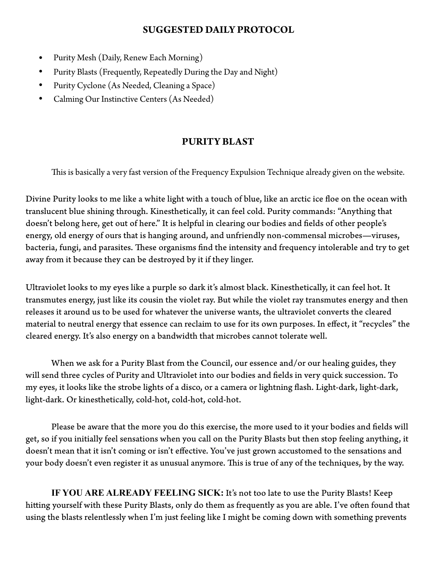#### **SUGGESTED DAILY PROTOCOL**

- Purity Mesh (Daily, Renew Each Morning)
- Purity Blasts (Frequently, Repeatedly During the Day and Night)
- Purity Cyclone (As Needed, Cleaning a Space)
- Calming Our Instinctive Centers (As Needed)

#### **PURITY BLAST**

This is basically a very fast version of the Frequency Expulsion Technique already given on the website.

Divine Purity looks to me like a white light with a touch of blue, like an arctic ice foe on the ocean with translucent blue shining through. Kinesthetically, it can feel cold. Purity commands: "Anything that doesn't belong here, get out of here." It is helpful in clearing our bodies and felds of other people's energy, old energy of ours that is hanging around, and unfriendly non-commensal microbes—viruses, bacteria, fungi, and parasites. These organisms find the intensity and frequency intolerable and try to get away from it because they can be destroyed by it if they linger.

Ultraviolet looks to my eyes like a purple so dark it's almost black. Kinesthetically, it can feel hot. It transmutes energy, just like its cousin the violet ray. But while the violet ray transmutes energy and then releases it around us to be used for whatever the universe wants, the ultraviolet converts the cleared material to neutral energy that essence can reclaim to use for its own purposes. In effect, it "recycles" the cleared energy. It's also energy on a bandwidth that microbes cannot tolerate well.

 When we ask for a Purity Blast from the Council, our essence and/or our healing guides, they will send three cycles of Purity and Ultraviolet into our bodies and felds in very quick succession. To my eyes, it looks like the strobe lights of a disco, or a camera or lightning fash. Light-dark, light-dark, light-dark. Or kinesthetically, cold-hot, cold-hot, cold-hot.

Please be aware that the more you do this exercise, the more used to it your bodies and felds will get, so if you initially feel sensations when you call on the Purity Blasts but then stop feeling anything, it doesn't mean that it isn't coming or isn't effective. You've just grown accustomed to the sensations and your body doesn't even register it as unusual anymore. This is true of any of the techniques, by the way.

**IF YOU ARE ALREADY FEELING SICK:** It's not too late to use the Purity Blasts! Keep hitting yourself with these Purity Blasts, only do them as frequently as you are able. I've often found that using the blasts relentlessly when I'm just feeling like I might be coming down with something prevents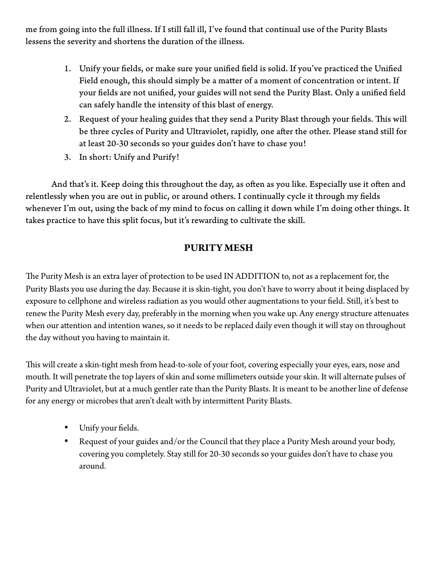me from going into the full illness. If I still fall ill, I've found that continual use of the Purity Blasts lessens the severity and shortens the duration of the illness.

- 1. Unify your felds, or make sure your unifed feld is solid. If you've practiced the Unifed Field enough, this should simply be a mater of a moment of concentration or intent. If your felds are not unifed, your guides will not send the Purity Blast. Only a unifed feld can safely handle the intensity of this blast of energy.
- 2. Request of your healing guides that they send a Purity Blast through your fields. This will be three cycles of Purity and Ultraviolet, rapidly, one after the other. Please stand still for at least 20-30 seconds so your guides don't have to chase you!
- 3. In short: Unify and Purify!

And that's it. Keep doing this throughout the day, as often as you like. Especially use it often and relentlessly when you are out in public, or around others. I continually cycle it through my felds whenever I'm out, using the back of my mind to focus on calling it down while I'm doing other things. It takes practice to have this split focus, but it's rewarding to cultivate the skill.

## **PURITY MESH**

The Purity Mesh is an extra layer of protection to be used IN ADDITION to, not as a replacement for, the Purity Blasts you use during the day. Because it is skin-tight, you don't have to worry about it being displaced by exposure to cellphone and wireless radiation as you would other augmentations to your feld. Still, it's best to renew the Purity Mesh every day, preferably in the morning when you wake up. Any energy structure atenuates when our attention and intention wanes, so it needs to be replaced daily even though it will stay on throughout the day without you having to maintain it.

This will create a skin-tight mesh from head-to-sole of your foot, covering especially your eyes, ears, nose and mouth. It will penetrate the top layers of skin and some millimeters outside your skin. It will alternate pulses of Purity and Ultraviolet, but at a much gentler rate than the Purity Blasts. It is meant to be another line of defense for any energy or microbes that aren't dealt with by intermitent Purity Blasts.

- Unify your felds.
- Request of your guides and/or the Council that they place a Purity Mesh around your body, covering you completely. Stay still for 20-30 seconds so your guides don't have to chase you around.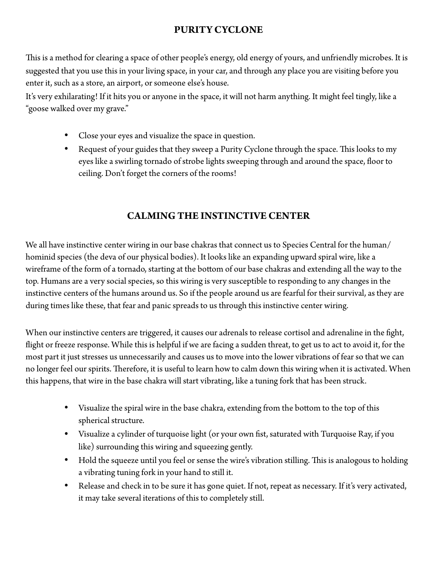# **PURITY CYCLONE**

This is a method for clearing a space of other people's energy, old energy of yours, and unfriendly microbes. It is suggested that you use this in your living space, in your car, and through any place you are visiting before you enter it, such as a store, an airport, or someone else's house.

It's very exhilarating! If it hits you or anyone in the space, it will not harm anything. It might feel tingly, like a "goose walked over my grave."

- Close your eyes and visualize the space in question.
- Request of your guides that they sweep a Purity Cyclone through the space. This looks to my eyes like a swirling tornado of strobe lights sweeping through and around the space, foor to ceiling. Don't forget the corners of the rooms!

## **CALMING THE INSTINCTIVE CENTER**

We all have instinctive center wiring in our base chakras that connect us to Species Central for the human/ hominid species (the deva of our physical bodies). It looks like an expanding upward spiral wire, like a wireframe of the form of a tornado, starting at the botom of our base chakras and extending all the way to the top. Humans are a very social species, so this wiring is very susceptible to responding to any changes in the instinctive centers of the humans around us. So if the people around us are fearful for their survival, as they are during times like these, that fear and panic spreads to us through this instinctive center wiring.

When our instinctive centers are triggered, it causes our adrenals to release cortisol and adrenaline in the fght, fight or freeze response. While this is helpful if we are facing a sudden threat, to get us to act to avoid it, for the most part it just stresses us unnecessarily and causes us to move into the lower vibrations of fear so that we can no longer feel our spirits. Therefore, it is useful to learn how to calm down this wiring when it is activated. When this happens, that wire in the base chakra will start vibrating, like a tuning fork that has been struck.

- Visualize the spiral wire in the base chakra, extending from the bottom to the top of this spherical structure.
- Visualize a cylinder of turquoise light (or your own fst, saturated with Turquoise Ray, if you like) surrounding this wiring and squeezing gently.
- Hold the squeeze until you feel or sense the wire's vibration stilling. This is analogous to holding a vibrating tuning fork in your hand to still it.
- Release and check in to be sure it has gone quiet. If not, repeat as necessary. If it's very activated, it may take several iterations of this to completely still.